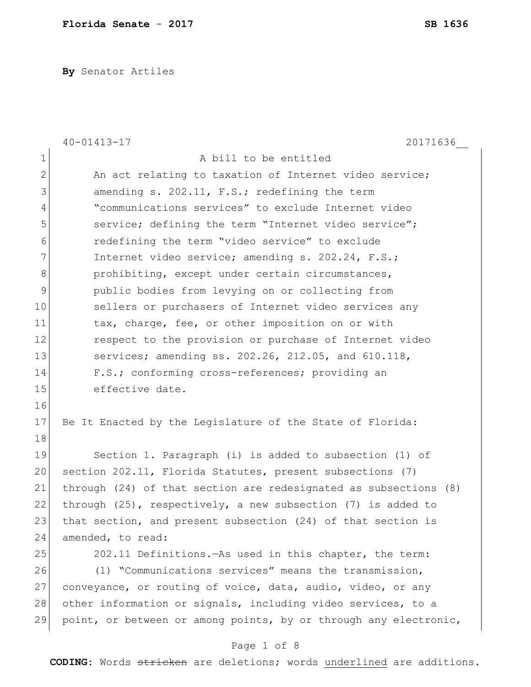**By** Senator Artiles

|               | $40 - 01413 - 17$<br>20171636                                     |
|---------------|-------------------------------------------------------------------|
| $\mathbf 1$   | A bill to be entitled                                             |
| $\mathbf{2}$  | An act relating to taxation of Internet video service;            |
| $\mathcal{S}$ | amending s. 202.11, F.S.; redefining the term                     |
| 4             | "communications services" to exclude Internet video               |
| 5             | service; defining the term "Internet video service";              |
| 6             | redefining the term "video service" to exclude                    |
| 7             | Internet video service; amending s. 202.24, F.S.;                 |
| 8             | prohibiting, except under certain circumstances,                  |
| 9             | public bodies from levying on or collecting from                  |
| 10            | sellers or purchasers of Internet video services any              |
| 11            | tax, charge, fee, or other imposition on or with                  |
| 12            | respect to the provision or purchase of Internet video            |
| 13            | services; amending ss. 202.26, 212.05, and 610.118,               |
| 14            | F.S.; conforming cross-references; providing an                   |
| 15            | effective date.                                                   |
| 16            |                                                                   |
| 17            | Be It Enacted by the Legislature of the State of Florida:         |
| 18            |                                                                   |
| 19            | Section 1. Paragraph (i) is added to subsection (1) of            |
| 20            | section 202.11, Florida Statutes, present subsections (7)         |
| 21            | through (24) of that section are redesignated as subsections (8)  |
| 22            | through $(25)$ , respectively, a new subsection $(7)$ is added to |
| 23            | that section, and present subsection (24) of that section is      |
| 24            | amended, to read:                                                 |
| 25            | 202.11 Definitions. As used in this chapter, the term:            |
| 26            | (1) "Communications services" means the transmission,             |
| 27            | conveyance, or routing of voice, data, audio, video, or any       |
| 28            | other information or signals, including video services, to a      |
| 29            | point, or between or among points, by or through any electronic,  |
|               | Page 1 of 8                                                       |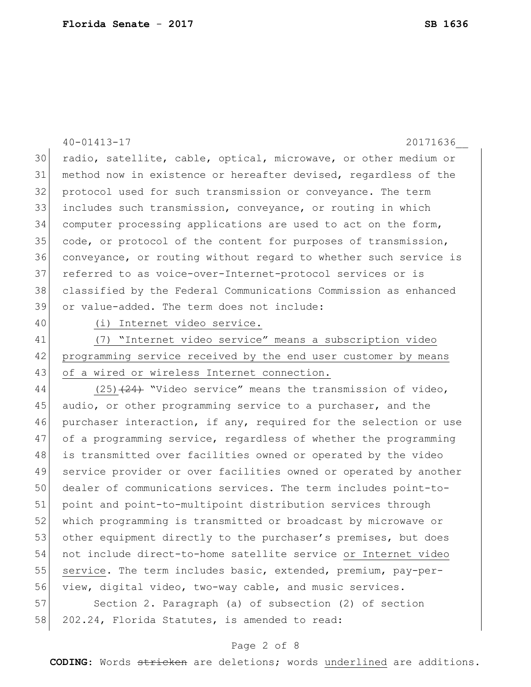40-01413-17 20171636\_\_ radio, satellite, cable, optical, microwave, or other medium or method now in existence or hereafter devised, regardless of the protocol used for such transmission or conveyance. The term includes such transmission, conveyance, or routing in which computer processing applications are used to act on the form, code, or protocol of the content for purposes of transmission, conveyance, or routing without regard to whether such service is referred to as voice-over-Internet-protocol services or is classified by the Federal Communications Commission as enhanced or value-added. The term does not include: 40 (i) Internet video service. (7) "Internet video service" means a subscription video programming service received by the end user customer by means 43 of a wired or wireless Internet connection. 44 (25)<del>(24)</del> "Video service" means the transmission of video, 45 audio, or other programming service to a purchaser, and the purchaser interaction, if any, required for the selection or use 47 of a programming service, regardless of whether the programming is transmitted over facilities owned or operated by the video

 service provider or over facilities owned or operated by another dealer of communications services. The term includes point-to- point and point-to-multipoint distribution services through which programming is transmitted or broadcast by microwave or 53 other equipment directly to the purchaser's premises, but does not include direct-to-home satellite service or Internet video 55 service. The term includes basic, extended, premium, pay-per-view, digital video, two-way cable, and music services.

57 Section 2. Paragraph (a) of subsection (2) of section 58 202.24, Florida Statutes, is amended to read:

#### Page 2 of 8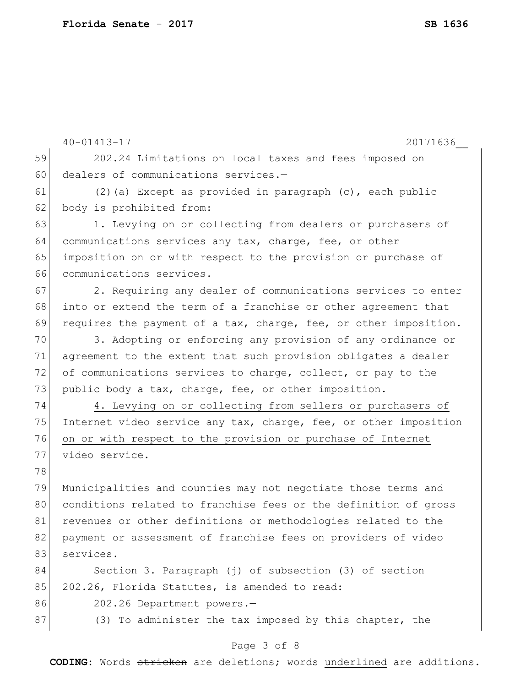| 59<br>60<br>61 | 202.24 Limitations on local taxes and fees imposed on<br>dealers of communications services.-<br>$(2)$ (a) Except as provided in paragraph $(c)$ , each public |
|----------------|----------------------------------------------------------------------------------------------------------------------------------------------------------------|
|                |                                                                                                                                                                |
|                |                                                                                                                                                                |
|                |                                                                                                                                                                |
| 62             | body is prohibited from:                                                                                                                                       |
| 63             | 1. Levying on or collecting from dealers or purchasers of                                                                                                      |
| 64             | communications services any tax, charge, fee, or other                                                                                                         |
| 65             | imposition on or with respect to the provision or purchase of                                                                                                  |
| 66             | communications services.                                                                                                                                       |
| 67             | 2. Requiring any dealer of communications services to enter                                                                                                    |
| 68             | into or extend the term of a franchise or other agreement that                                                                                                 |
| 69             | requires the payment of a tax, charge, fee, or other imposition.                                                                                               |
| 70             | 3. Adopting or enforcing any provision of any ordinance or                                                                                                     |
| 71             | agreement to the extent that such provision obligates a dealer                                                                                                 |
| 72             | of communications services to charge, collect, or pay to the                                                                                                   |
| 73             | public body a tax, charge, fee, or other imposition.                                                                                                           |
| 74             | 4. Levying on or collecting from sellers or purchasers of                                                                                                      |
| 75             | Internet video service any tax, charge, fee, or other imposition                                                                                               |
| 76             | on or with respect to the provision or purchase of Internet                                                                                                    |
| 77             | video service.                                                                                                                                                 |
| 78             |                                                                                                                                                                |
| 79             | Municipalities and counties may not negotiate those terms and                                                                                                  |
| 80             | conditions related to franchise fees or the definition of gross                                                                                                |
| 81             | revenues or other definitions or methodologies related to the                                                                                                  |
| 82             | payment or assessment of franchise fees on providers of video                                                                                                  |
| 83             | services.                                                                                                                                                      |
| 84             | Section 3. Paragraph (j) of subsection (3) of section                                                                                                          |
| 85             | 202.26, Florida Statutes, is amended to read:                                                                                                                  |
| 86             | 202.26 Department powers.-                                                                                                                                     |
| 87             | (3) To administer the tax imposed by this chapter, the                                                                                                         |

# Page 3 of 8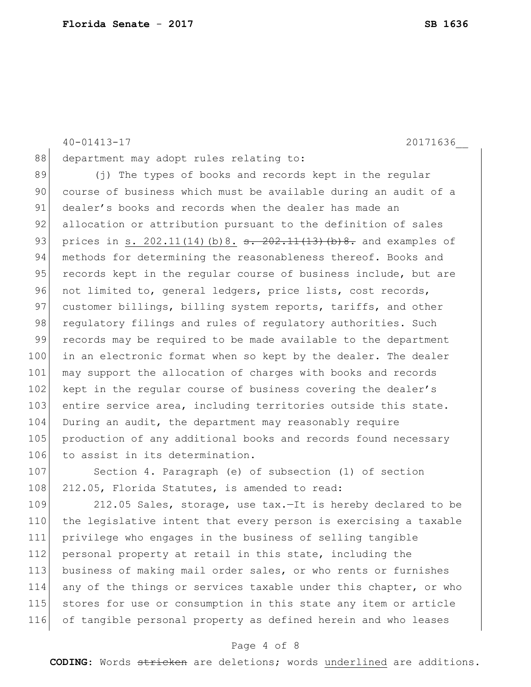40-01413-17 20171636\_\_ 88 department may adopt rules relating to: 89 (j) The types of books and records kept in the regular 90 course of business which must be available during an audit of a 91 dealer's books and records when the dealer has made an 92 allocation or attribution pursuant to the definition of sales 93 prices in s. 202.11(14)(b)8.  $\frac{1}{2}$   $\frac{1}{2}$   $\frac{1}{4}$   $\frac{1}{3}$   $\frac{1}{6}$   $\frac{1}{2}$  and examples of 94 methods for determining the reasonableness thereof. Books and 95 records kept in the regular course of business include, but are 96 not limited to, general ledgers, price lists, cost records, 97 customer billings, billing system reports, tariffs, and other 98 regulatory filings and rules of regulatory authorities. Such 99 records may be required to be made available to the department 100 in an electronic format when so kept by the dealer. The dealer 101 may support the allocation of charges with books and records 102 kept in the regular course of business covering the dealer's 103 entire service area, including territories outside this state. 104 During an audit, the department may reasonably require 105 production of any additional books and records found necessary 106 to assist in its determination.

107 Section 4. Paragraph (e) of subsection (1) of section 108 212.05, Florida Statutes, is amended to read:

109 212.05 Sales, storage, use tax.—It is hereby declared to be 110 the legislative intent that every person is exercising a taxable 111 privilege who engages in the business of selling tangible 112 personal property at retail in this state, including the 113 business of making mail order sales, or who rents or furnishes 114 any of the things or services taxable under this chapter, or who 115 stores for use or consumption in this state any item or article 116 of tangible personal property as defined herein and who leases

## Page 4 of 8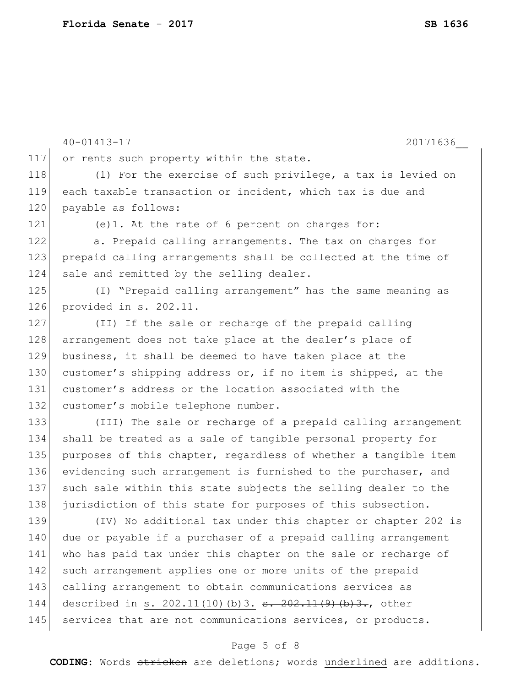40-01413-17 20171636\_\_ 117 or rents such property within the state. 118 (1) For the exercise of such privilege, a tax is levied on 119 each taxable transaction or incident, which tax is due and 120 | payable as follows: 121 (e)1. At the rate of 6 percent on charges for: 122 a. Prepaid calling arrangements. The tax on charges for 123 prepaid calling arrangements shall be collected at the time of 124 sale and remitted by the selling dealer. 125 (I) "Prepaid calling arrangement" has the same meaning as 126 provided in s. 202.11. 127 (II) If the sale or recharge of the prepaid calling 128 arrangement does not take place at the dealer's place of 129 business, it shall be deemed to have taken place at the 130 customer's shipping address or, if no item is shipped, at the 131 customer's address or the location associated with the 132 customer's mobile telephone number. 133 (III) The sale or recharge of a prepaid calling arrangement 134 shall be treated as a sale of tangible personal property for 135 purposes of this chapter, regardless of whether a tangible item 136 evidencing such arrangement is furnished to the purchaser, and 137 such sale within this state subjects the selling dealer to the 138 jurisdiction of this state for purposes of this subsection. 139 (IV) No additional tax under this chapter or chapter 202 is 140 due or payable if a purchaser of a prepaid calling arrangement 141 who has paid tax under this chapter on the sale or recharge of 142 such arrangement applies one or more units of the prepaid 143 calling arrangement to obtain communications services as 144 described in s. 202.11(10)(b)3. <del>s. 202.11(9)(b)3.</del>, other 145 services that are not communications services, or products.

## Page 5 of 8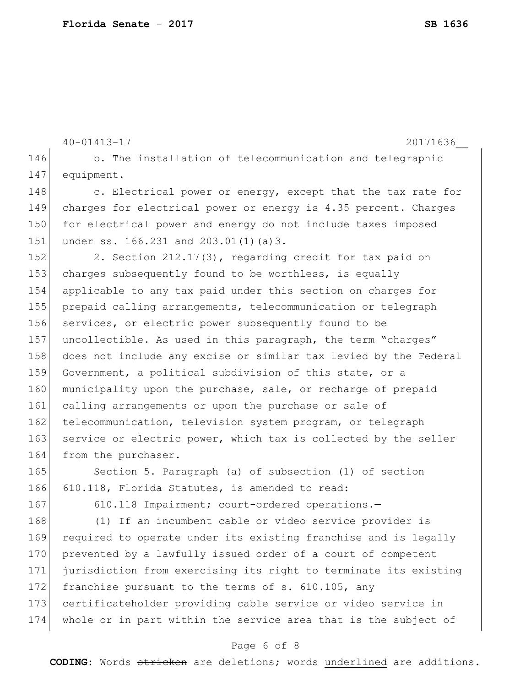```
40-01413-17 20171636__
146 b. The installation of telecommunication and telegraphic
147 equipment.
148 c. Electrical power or energy, except that the tax rate for
149 charges for electrical power or energy is 4.35 percent. Charges 
150 for electrical power and energy do not include taxes imposed
151 under ss. 166.231 and 203.01(1)(a)3.
152 2. Section 212.17(3), regarding credit for tax paid on
153 charges subsequently found to be worthless, is equally
154 applicable to any tax paid under this section on charges for 
155 prepaid calling arrangements, telecommunication or telegraph 
156 services, or electric power subsequently found to be
157 uncollectible. As used in this paragraph, the term "charges"
158 does not include any excise or similar tax levied by the Federal 
159 Government, a political subdivision of this state, or a
160 municipality upon the purchase, sale, or recharge of prepaid
161 calling arrangements or upon the purchase or sale of
162 telecommunication, television system program, or telegraph
163 service or electric power, which tax is collected by the seller
164 from the purchaser.
165 Section 5. Paragraph (a) of subsection (1) of section
166 610.118, Florida Statutes, is amended to read:
167 610.118 Impairment; court-ordered operations.
168 (1) If an incumbent cable or video service provider is
```
 required to operate under its existing franchise and is legally 170 prevented by a lawfully issued order of a court of competent jurisdiction from exercising its right to terminate its existing 172 franchise pursuant to the terms of s. 610.105, any certificateholder providing cable service or video service in whole or in part within the service area that is the subject of

### Page 6 of 8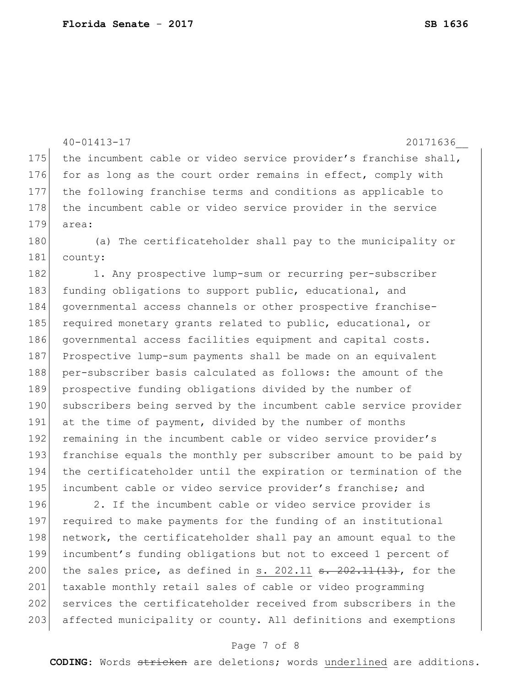40-01413-17 20171636\_\_ 175 the incumbent cable or video service provider's franchise shall, 176 for as long as the court order remains in effect, comply with 177 the following franchise terms and conditions as applicable to 178 the incumbent cable or video service provider in the service 179 area: 180 (a) The certificateholder shall pay to the municipality or 181 county: 182 1. Any prospective lump-sum or recurring per-subscriber 183 funding obligations to support public, educational, and 184 governmental access channels or other prospective franchise-185 required monetary grants related to public, educational, or 186 governmental access facilities equipment and capital costs. 187 Prospective lump-sum payments shall be made on an equivalent 188 per-subscriber basis calculated as follows: the amount of the 189 prospective funding obligations divided by the number of 190 subscribers being served by the incumbent cable service provider 191 at the time of payment, divided by the number of months 192 remaining in the incumbent cable or video service provider's 193 franchise equals the monthly per subscriber amount to be paid by 194 the certificateholder until the expiration or termination of the 195 incumbent cable or video service provider's franchise; and 196 2. If the incumbent cable or video service provider is 197 required to make payments for the funding of an institutional 198 network, the certificateholder shall pay an amount equal to the 199 incumbent's funding obligations but not to exceed 1 percent of 200 the sales price, as defined in s. 202.11  $\frac{1}{3}$ ,  $\frac{202.11(13)}{13}$ , for the 201 taxable monthly retail sales of cable or video programming 202 services the certificateholder received from subscribers in the 203 affected municipality or county. All definitions and exemptions

#### Page 7 of 8